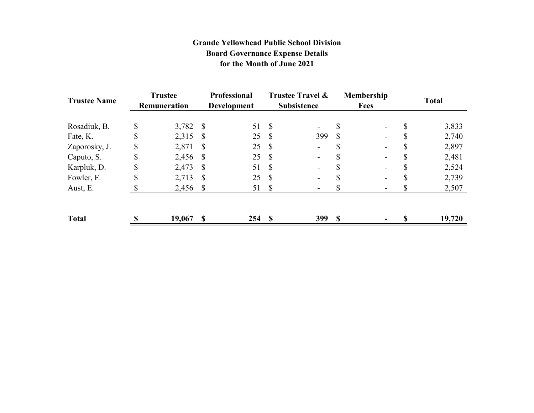## **Grande Yellowhead Public School Division Board Governance Expense Details for the Month of June 2021**

| <b>Trustee Name</b> | <b>Trustee</b><br><b>Remuneration</b> |           | <b>Professional</b><br><b>Development</b> |     | Trustee Travel &<br><b>Subsistence</b> |                          | Membership<br><b>Fees</b> |                          | <b>Total</b> |        |
|---------------------|---------------------------------------|-----------|-------------------------------------------|-----|----------------------------------------|--------------------------|---------------------------|--------------------------|--------------|--------|
|                     |                                       |           |                                           |     |                                        |                          |                           |                          |              |        |
| Rosadiuk, B.        | \$                                    | 3,782 \$  |                                           | 51  | $\mathcal{S}$                          | $\overline{\phantom{0}}$ | S                         |                          | \$           | 3,833  |
| Fate, K.            | \$                                    | 2,315     | -S                                        | 25  | -\$                                    | 399                      | S                         |                          | D            | 2,740  |
| Zaporosky, J.       | \$                                    | 2,871     | -S                                        | 25  | -S                                     | $\blacksquare$           |                           |                          | \$           | 2,897  |
| Caputo, S.          | \$                                    | 2,456 \$  |                                           | 25  | -S                                     | $\overline{\phantom{0}}$ |                           |                          |              | 2,481  |
| Karpluk, D.         | \$                                    | 2,473     | - S                                       | 51  | S                                      | $\blacksquare$           | Ъ                         | $\overline{\phantom{a}}$ | S            | 2,524  |
| Fowler, F.          | \$                                    | 2,713     | <sup>S</sup>                              | 25  | S                                      | $\blacksquare$           |                           | -                        |              | 2,739  |
| Aust, E.            |                                       | 2,456 \$  |                                           | 51  | -S                                     |                          |                           |                          |              | 2,507  |
| <b>Total</b>        |                                       | 19,067 \$ |                                           | 254 | -S                                     | <b>399</b>               | <b>S</b>                  |                          | S            | 19,720 |